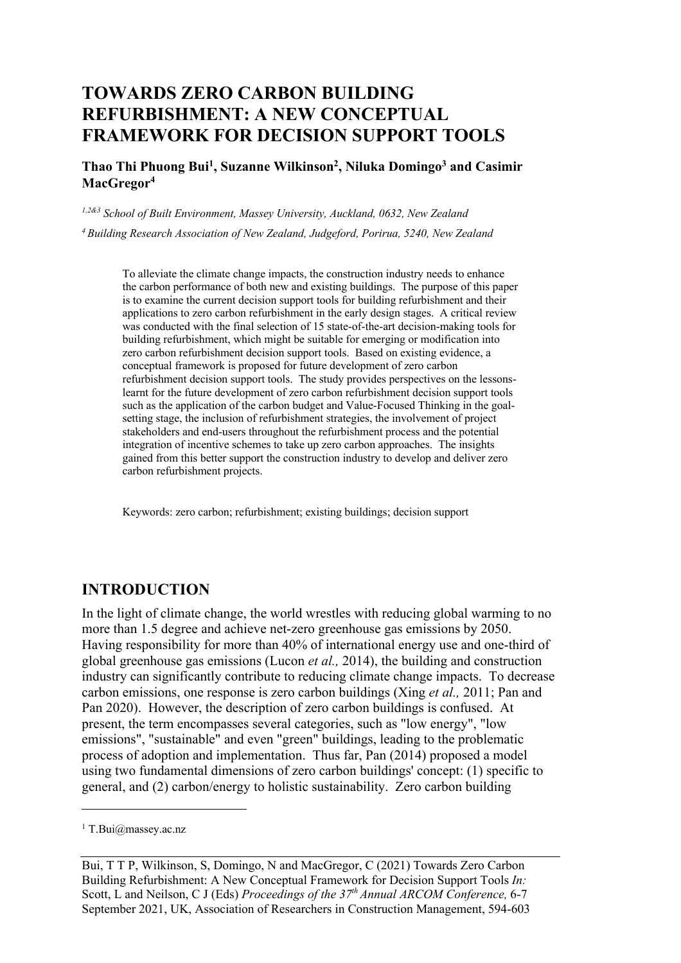# **TOWARDS ZERO CARBON BUILDING REFURBISHMENT: A NEW CONCEPTUAL FRAMEWORK FOR DECISION SUPPORT TOOLS**

**Thao Thi Phuong Bui1 , Suzanne Wilkinson2 , Niluka Domingo3 and Casimir MacGregor4**

*1,2&3 School of Built Environment, Massey University, Auckland, 0632, New Zealand*

*4 Building Research Association of New Zealand, Judgeford, Porirua, 5240, New Zealand*

To alleviate the climate change impacts, the construction industry needs to enhance the carbon performance of both new and existing buildings. The purpose of this paper is to examine the current decision support tools for building refurbishment and their applications to zero carbon refurbishment in the early design stages. A critical review was conducted with the final selection of 15 state-of-the-art decision-making tools for building refurbishment, which might be suitable for emerging or modification into zero carbon refurbishment decision support tools. Based on existing evidence, a conceptual framework is proposed for future development of zero carbon refurbishment decision support tools. The study provides perspectives on the lessonslearnt for the future development of zero carbon refurbishment decision support tools such as the application of the carbon budget and Value-Focused Thinking in the goalsetting stage, the inclusion of refurbishment strategies, the involvement of project stakeholders and end-users throughout the refurbishment process and the potential integration of incentive schemes to take up zero carbon approaches. The insights gained from this better support the construction industry to develop and deliver zero carbon refurbishment projects.

Keywords: zero carbon; refurbishment; existing buildings; decision support

# **INTRODUCTION**

In the light of climate change, the world wrestles with reducing global warming to no more than 1.5 degree and achieve net-zero greenhouse gas emissions by 2050. Having responsibility for more than 40% of international energy use and one-third of global greenhouse gas emissions (Lucon *et al.,* 2014), the building and construction industry can significantly contribute to reducing climate change impacts. To decrease carbon emissions, one response is zero carbon buildings (Xing *et al.,* 2011; Pan and Pan 2020). However, the description of zero carbon buildings is confused. At present, the term encompasses several categories, such as "low energy", "low emissions", "sustainable" and even "green" buildings, leading to the problematic process of adoption and implementation. Thus far, Pan (2014) proposed a model using two fundamental dimensions of zero carbon buildings' concept: (1) specific to general, and (2) carbon/energy to holistic sustainability. Zero carbon building

<sup>&</sup>lt;sup>1</sup> T.Bui@massey.ac.nz

Bui, T T P, Wilkinson, S, Domingo, N and MacGregor, C (2021) Towards Zero Carbon Building Refurbishment: A New Conceptual Framework for Decision Support Tools *In:*  Scott, L and Neilson, C J (Eds) *Proceedings of the 37th Annual ARCOM Conference,* 6-7 September 2021, UK, Association of Researchers in Construction Management, 594-603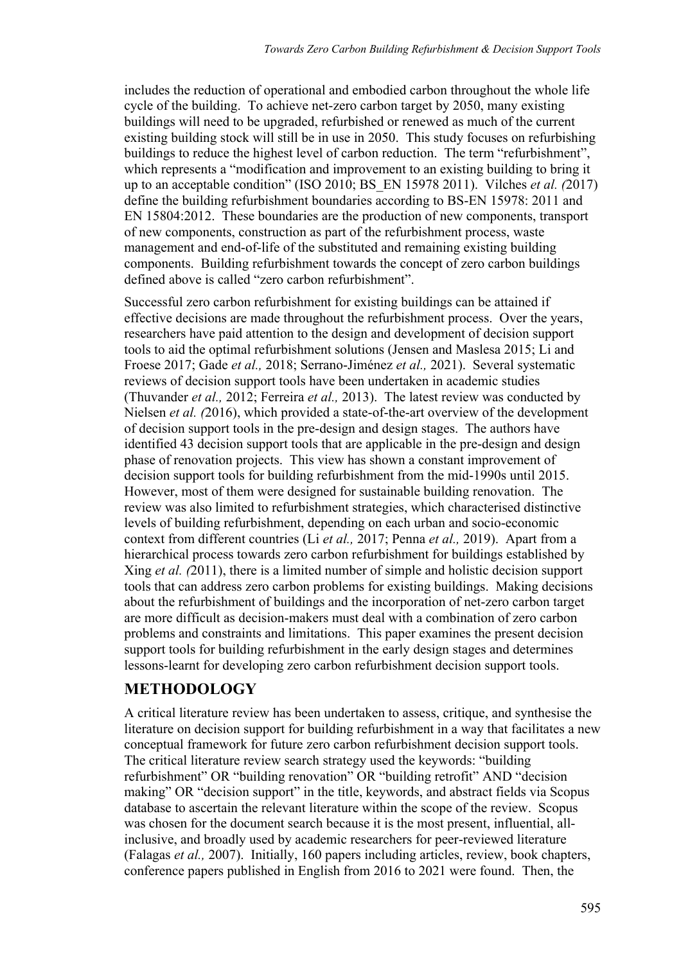includes the reduction of operational and embodied carbon throughout the whole life cycle of the building. To achieve net-zero carbon target by 2050, many existing buildings will need to be upgraded, refurbished or renewed as much of the current existing building stock will still be in use in 2050. This study focuses on refurbishing buildings to reduce the highest level of carbon reduction. The term "refurbishment", which represents a "modification and improvement to an existing building to bring it up to an acceptable condition" (ISO 2010; BS\_EN 15978 2011). Vilches *et al. (*2017) define the building refurbishment boundaries according to BS-EN 15978: 2011 and EN 15804:2012. These boundaries are the production of new components, transport of new components, construction as part of the refurbishment process, waste management and end-of-life of the substituted and remaining existing building components. Building refurbishment towards the concept of zero carbon buildings defined above is called "zero carbon refurbishment".

Successful zero carbon refurbishment for existing buildings can be attained if effective decisions are made throughout the refurbishment process. Over the years, researchers have paid attention to the design and development of decision support tools to aid the optimal refurbishment solutions (Jensen and Maslesa 2015; Li and Froese 2017; Gade *et al.,* 2018; Serrano-Jiménez *et al.,* 2021). Several systematic reviews of decision support tools have been undertaken in academic studies (Thuvander *et al.,* 2012; Ferreira *et al.,* 2013). The latest review was conducted by Nielsen *et al. (*2016), which provided a state-of-the-art overview of the development of decision support tools in the pre-design and design stages. The authors have identified 43 decision support tools that are applicable in the pre-design and design phase of renovation projects. This view has shown a constant improvement of decision support tools for building refurbishment from the mid-1990s until 2015. However, most of them were designed for sustainable building renovation. The review was also limited to refurbishment strategies, which characterised distinctive levels of building refurbishment, depending on each urban and socio-economic context from different countries (Li *et al.,* 2017; Penna *et al.,* 2019). Apart from a hierarchical process towards zero carbon refurbishment for buildings established by Xing *et al. (*2011), there is a limited number of simple and holistic decision support tools that can address zero carbon problems for existing buildings. Making decisions about the refurbishment of buildings and the incorporation of net-zero carbon target are more difficult as decision-makers must deal with a combination of zero carbon problems and constraints and limitations. This paper examines the present decision support tools for building refurbishment in the early design stages and determines lessons-learnt for developing zero carbon refurbishment decision support tools.

# **METHODOLOGY**

A critical literature review has been undertaken to assess, critique, and synthesise the literature on decision support for building refurbishment in a way that facilitates a new conceptual framework for future zero carbon refurbishment decision support tools. The critical literature review search strategy used the keywords: "building refurbishment" OR "building renovation" OR "building retrofit" AND "decision making" OR "decision support" in the title, keywords, and abstract fields via Scopus database to ascertain the relevant literature within the scope of the review. Scopus was chosen for the document search because it is the most present, influential, allinclusive, and broadly used by academic researchers for peer-reviewed literature (Falagas *et al.,* 2007). Initially, 160 papers including articles, review, book chapters, conference papers published in English from 2016 to 2021 were found. Then, the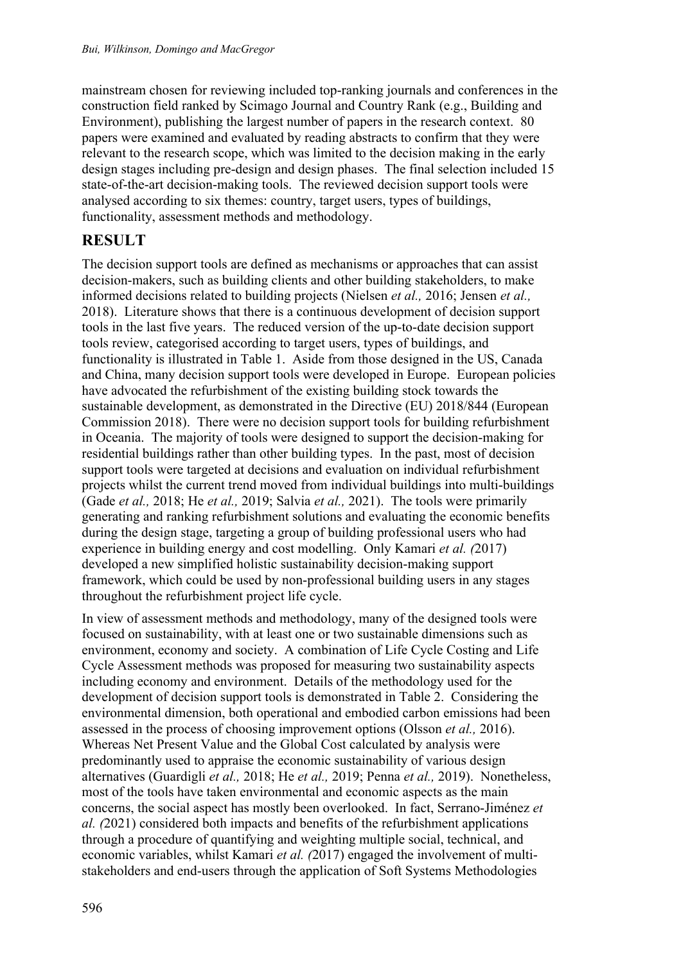mainstream chosen for reviewing included top-ranking journals and conferences in the construction field ranked by Scimago Journal and Country Rank (e.g., Building and Environment), publishing the largest number of papers in the research context. 80 papers were examined and evaluated by reading abstracts to confirm that they were relevant to the research scope, which was limited to the decision making in the early design stages including pre-design and design phases. The final selection included 15 state-of-the-art decision-making tools. The reviewed decision support tools were analysed according to six themes: country, target users, types of buildings, functionality, assessment methods and methodology.

# **RESULT**

The decision support tools are defined as mechanisms or approaches that can assist decision-makers, such as building clients and other building stakeholders, to make informed decisions related to building projects (Nielsen *et al.,* 2016; Jensen *et al.,*  2018). Literature shows that there is a continuous development of decision support tools in the last five years. The reduced version of the up-to-date decision support tools review, categorised according to target users, types of buildings, and functionality is illustrated in Table 1. Aside from those designed in the US, Canada and China, many decision support tools were developed in Europe. European policies have advocated the refurbishment of the existing building stock towards the sustainable development, as demonstrated in the Directive (EU) 2018/844 (European Commission 2018). There were no decision support tools for building refurbishment in Oceania. The majority of tools were designed to support the decision-making for residential buildings rather than other building types. In the past, most of decision support tools were targeted at decisions and evaluation on individual refurbishment projects whilst the current trend moved from individual buildings into multi-buildings (Gade *et al.,* 2018; He *et al.,* 2019; Salvia *et al.,* 2021). The tools were primarily generating and ranking refurbishment solutions and evaluating the economic benefits during the design stage, targeting a group of building professional users who had experience in building energy and cost modelling. Only Kamari *et al. (*2017) developed a new simplified holistic sustainability decision-making support framework, which could be used by non-professional building users in any stages throughout the refurbishment project life cycle.

In view of assessment methods and methodology, many of the designed tools were focused on sustainability, with at least one or two sustainable dimensions such as environment, economy and society. A combination of Life Cycle Costing and Life Cycle Assessment methods was proposed for measuring two sustainability aspects including economy and environment. Details of the methodology used for the development of decision support tools is demonstrated in Table 2. Considering the environmental dimension, both operational and embodied carbon emissions had been assessed in the process of choosing improvement options (Olsson *et al.,* 2016). Whereas Net Present Value and the Global Cost calculated by analysis were predominantly used to appraise the economic sustainability of various design alternatives (Guardigli *et al.,* 2018; He *et al.,* 2019; Penna *et al.,* 2019). Nonetheless, most of the tools have taken environmental and economic aspects as the main concerns, the social aspect has mostly been overlooked. In fact, Serrano-Jiménez *et al. (*2021) considered both impacts and benefits of the refurbishment applications through a procedure of quantifying and weighting multiple social, technical, and economic variables, whilst Kamari *et al. (*2017) engaged the involvement of multistakeholders and end-users through the application of Soft Systems Methodologies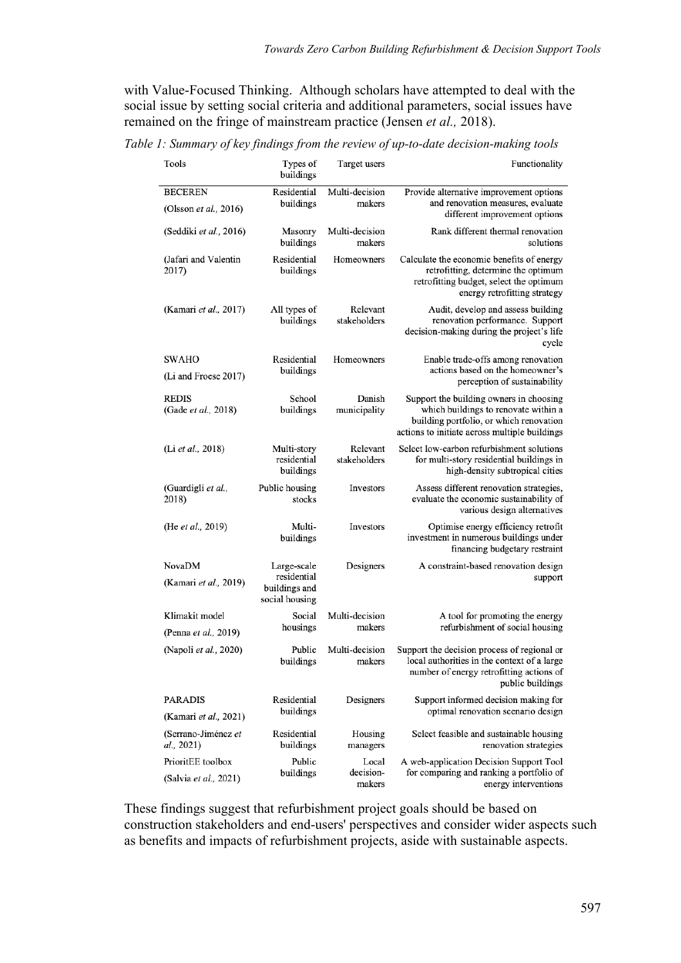with Value-Focused Thinking. Although scholars have attempted to deal with the social issue by setting social criteria and additional parameters, social issues have remained on the fringe of mainstream practice (Jensen *et al.,* 2018).

*Table 1: Summary of key findings from the review of up-to-date decision-making tools*

| Tools                                   | Types of<br>buildings                          | Target users             | Functionality                                                                                                                                                               |
|-----------------------------------------|------------------------------------------------|--------------------------|-----------------------------------------------------------------------------------------------------------------------------------------------------------------------------|
| <b>BECEREN</b><br>(Olsson et al., 2016) | Residential<br>buildings                       | Multi-decision<br>makers | Provide alternative improvement options<br>and renovation measures, evaluate<br>different improvement options                                                               |
| (Seddiki et al., 2016)                  | Masonry<br>buildings                           | Multi-decision<br>makers | Rank different thermal renovation<br>solutions                                                                                                                              |
| (Jafari and Valentin<br>2017)           | Residential<br>buildings                       | Homeowners               | Calculate the economic benefits of energy<br>retrofitting, determine the optimum<br>retrofitting budget, select the optimum<br>energy retrofitting strategy                 |
| (Kamari et al., 2017)                   | All types of<br>buildings                      | Relevant<br>stakeholders | Audit, develop and assess building<br>renovation performance. Support<br>decision-making during the project's life<br>cycle                                                 |
| SWAHO<br>(Li and Froese 2017)           | Residential<br>buildings                       | Homeowners               | Enable trade-offs among renovation<br>actions based on the homeowner's<br>perception of sustainability                                                                      |
| <b>REDIS</b><br>(Gade et al., 2018)     | School<br>buildings                            | Danish<br>municipality   | Support the building owners in choosing<br>which buildings to renovate within a<br>building portfolio, or which renovation<br>actions to initiate across multiple buildings |
| (Li et al., 2018)                       | Multi-story<br>residential<br>buildings        | Relevant<br>stakeholders | Select low-carbon refurbishment solutions<br>for multi-story residential buildings in<br>high-density subtropical cities                                                    |
| (Guardigli et al.,<br>2018)             | Public housing<br>stocks                       | Investors                | Assess different renovation strategies,<br>evaluate the economic sustainability of<br>various design alternatives                                                           |
| (He et al., 2019)                       | Multi-<br>buildings                            | Investors                | Optimise energy efficiency retrofit<br>investment in numerous buildings under<br>financing budgetary restraint                                                              |
| NovaDM                                  | Large-scale                                    | Designers                | A constraint-based renovation design                                                                                                                                        |
| (Kamari et al., 2019)                   | residential<br>buildings and<br>social housing |                          | support                                                                                                                                                                     |
| Klimakit model                          | Social                                         | Multi-decision           | A tool for promoting the energy                                                                                                                                             |
| (Penna et al., 2019)                    | housings                                       | makers                   | refurbishment of social housing                                                                                                                                             |
| (Napoli et al., 2020)                   | Public<br>buildings                            | Multi-decision<br>makers | Support the decision process of regional or<br>local authorities in the context of a large<br>number of energy retrofitting actions of<br>public buildings                  |
| <b>PARADIS</b>                          | Residential                                    | Designers                | Support informed decision making for                                                                                                                                        |
| (Kamari et al., 2021)                   | buildings                                      |                          | optimal renovation scenario design                                                                                                                                          |
| (Serrano-Jiménez et<br>al., 2021)       | Residential<br>buildings                       | Housing<br>managers      | Select feasible and sustainable housing<br>renovation strategies                                                                                                            |
| PrioritEE toolbox                       | Public                                         | Local                    | A web-application Decision Support Tool                                                                                                                                     |
| (Salvia et al., 2021)                   | buildings                                      | decision-<br>makers      | for comparing and ranking a portfolio of<br>energy interventions                                                                                                            |

These findings suggest that refurbishment project goals should be based on construction stakeholders and end-users' perspectives and consider wider aspects such as benefits and impacts of refurbishment projects, aside with sustainable aspects.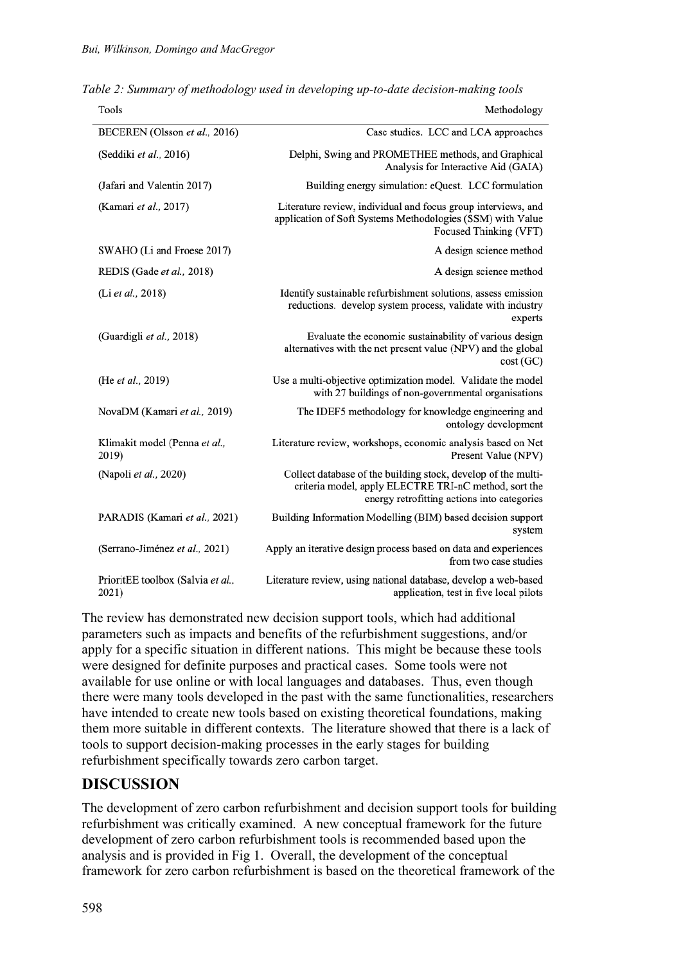| Tools                                      | Methodology                                                                                                                                                           |
|--------------------------------------------|-----------------------------------------------------------------------------------------------------------------------------------------------------------------------|
| BECEREN (Olsson et al., 2016)              | Case studies. LCC and LCA approaches                                                                                                                                  |
| (Seddiki et al., 2016)                     | Delphi, Swing and PROMETHEE methods, and Graphical<br>Analysis for Interactive Aid (GAIA)                                                                             |
| (Jafari and Valentin 2017)                 | Building energy simulation: eQuest. LCC formulation                                                                                                                   |
| (Kamari et al., 2017)                      | Literature review, individual and focus group interviews, and<br>application of Soft Systems Methodologies (SSM) with Value<br>Focused Thinking (VFT)                 |
| SWAHO (Li and Froese 2017)                 | A design science method                                                                                                                                               |
| REDIS (Gade et al., 2018)                  | A design science method                                                                                                                                               |
| (Li et al., 2018)                          | Identify sustainable refurbishment solutions, assess emission<br>reductions. develop system process, validate with industry<br>experts                                |
| (Guardigli et al., 2018)                   | Evaluate the economic sustainability of various design<br>alternatives with the net present value (NPV) and the global<br>cost(GC)                                    |
| (He et al., 2019)                          | Use a multi-objective optimization model. Validate the model<br>with 27 buildings of non-governmental organisations                                                   |
| NovaDM (Kamari et al., 2019)               | The IDEF5 methodology for knowledge engineering and<br>ontology development                                                                                           |
| Klimakit model (Penna et al.,<br>2019)     | Literature review, workshops, economic analysis based on Net<br>Present Value (NPV)                                                                                   |
| (Napoli et al., 2020)                      | Collect database of the building stock, develop of the multi-<br>criteria model, apply ELECTRE TRI-nC method, sort the<br>energy retrofitting actions into categories |
| PARADIS (Kamari et al., 2021)              | Building Information Modelling (BIM) based decision support<br>system                                                                                                 |
| (Serrano-Jiménez et al., 2021)             | Apply an iterative design process based on data and experiences<br>from two case studies                                                                              |
| PrioritEE toolbox (Salvia et al.,<br>2021) | Literature review, using national database, develop a web-based<br>application, test in five local pilots                                                             |

*Table 2: Summary of methodology used in developing up-to-date decision-making tools*

 $\overline{a}$   $\overline{a}$   $\overline{a}$   $\overline{a}$   $\overline{a}$   $\overline{a}$ 

The review has demonstrated new decision support tools, which had additional parameters such as impacts and benefits of the refurbishment suggestions, and/or apply for a specific situation in different nations. This might be because these tools were designed for definite purposes and practical cases. Some tools were not available for use online or with local languages and databases. Thus, even though there were many tools developed in the past with the same functionalities, researchers have intended to create new tools based on existing theoretical foundations, making them more suitable in different contexts. The literature showed that there is a lack of tools to support decision-making processes in the early stages for building refurbishment specifically towards zero carbon target.

# **DISCUSSION**

The development of zero carbon refurbishment and decision support tools for building refurbishment was critically examined. A new conceptual framework for the future development of zero carbon refurbishment tools is recommended based upon the analysis and is provided in Fig 1. Overall, the development of the conceptual framework for zero carbon refurbishment is based on the theoretical framework of the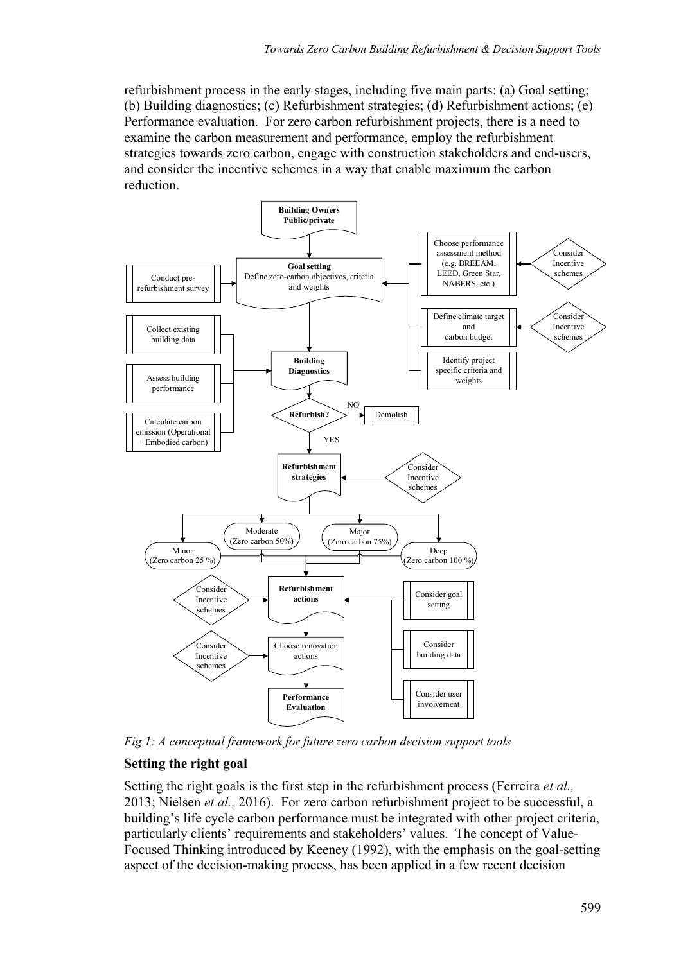refurbishment process in the early stages, including five main parts: (a) Goal setting; (b) Building diagnostics; (c) Refurbishment strategies; (d) Refurbishment actions; (e) Performance evaluation. For zero carbon refurbishment projects, there is a need to examine the carbon measurement and performance, employ the refurbishment strategies towards zero carbon, engage with construction stakeholders and end-users, and consider the incentive schemes in a way that enable maximum the carbon reduction.



*Fig 1: A conceptual framework for future zero carbon decision support tools*

#### **Setting the right goal**

Setting the right goals is the first step in the refurbishment process (Ferreira *et al.,*  2013; Nielsen *et al.,* 2016). For zero carbon refurbishment project to be successful, a building's life cycle carbon performance must be integrated with other project criteria, particularly clients' requirements and stakeholders' values. The concept of Value-Focused Thinking introduced by Keeney (1992), with the emphasis on the goal-setting aspect of the decision-making process, has been applied in a few recent decision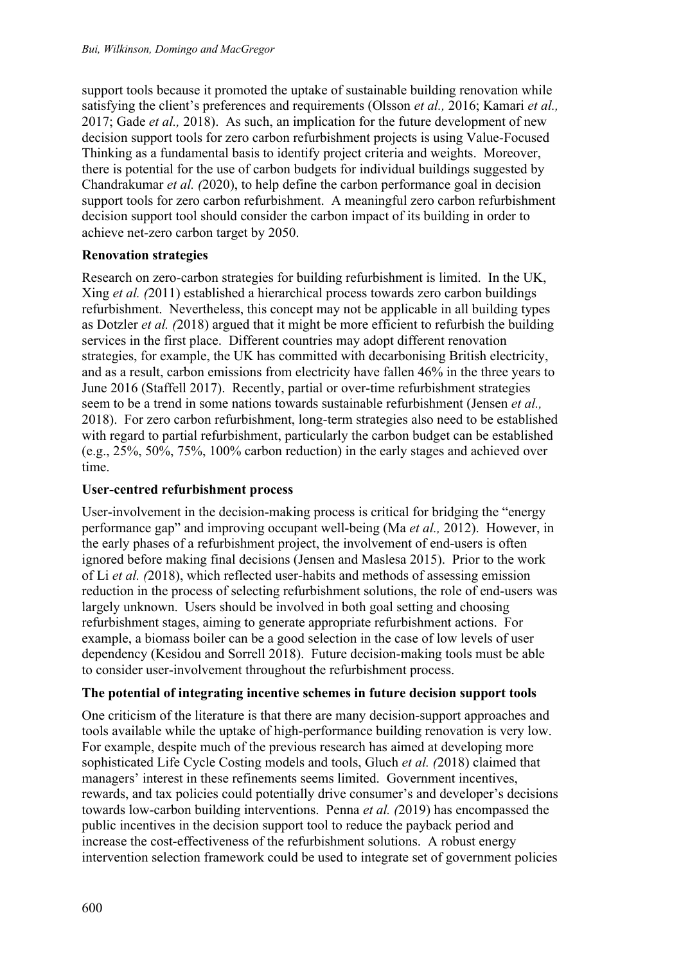support tools because it promoted the uptake of sustainable building renovation while satisfying the client's preferences and requirements (Olsson *et al.,* 2016; Kamari *et al.,*  2017; Gade *et al.,* 2018). As such, an implication for the future development of new decision support tools for zero carbon refurbishment projects is using Value-Focused Thinking as a fundamental basis to identify project criteria and weights. Moreover, there is potential for the use of carbon budgets for individual buildings suggested by Chandrakumar *et al. (*2020), to help define the carbon performance goal in decision support tools for zero carbon refurbishment. A meaningful zero carbon refurbishment decision support tool should consider the carbon impact of its building in order to achieve net-zero carbon target by 2050.

#### **Renovation strategies**

Research on zero-carbon strategies for building refurbishment is limited. In the UK, Xing *et al. (*2011) established a hierarchical process towards zero carbon buildings refurbishment. Nevertheless, this concept may not be applicable in all building types as Dotzler *et al. (*2018) argued that it might be more efficient to refurbish the building services in the first place. Different countries may adopt different renovation strategies, for example, the UK has committed with decarbonising British electricity, and as a result, carbon emissions from electricity have fallen 46% in the three years to June 2016 (Staffell 2017). Recently, partial or over-time refurbishment strategies seem to be a trend in some nations towards sustainable refurbishment (Jensen *et al.,*  2018). For zero carbon refurbishment, long-term strategies also need to be established with regard to partial refurbishment, particularly the carbon budget can be established (e.g., 25%, 50%, 75%, 100% carbon reduction) in the early stages and achieved over time.

#### **User-centred refurbishment process**

User-involvement in the decision-making process is critical for bridging the "energy performance gap" and improving occupant well-being (Ma *et al.,* 2012). However, in the early phases of a refurbishment project, the involvement of end-users is often ignored before making final decisions (Jensen and Maslesa 2015). Prior to the work of Li *et al. (*2018), which reflected user-habits and methods of assessing emission reduction in the process of selecting refurbishment solutions, the role of end-users was largely unknown. Users should be involved in both goal setting and choosing refurbishment stages, aiming to generate appropriate refurbishment actions. For example, a biomass boiler can be a good selection in the case of low levels of user dependency (Kesidou and Sorrell 2018). Future decision-making tools must be able to consider user-involvement throughout the refurbishment process.

#### **The potential of integrating incentive schemes in future decision support tools**

One criticism of the literature is that there are many decision-support approaches and tools available while the uptake of high-performance building renovation is very low. For example, despite much of the previous research has aimed at developing more sophisticated Life Cycle Costing models and tools, Gluch *et al. (*2018) claimed that managers' interest in these refinements seems limited. Government incentives, rewards, and tax policies could potentially drive consumer's and developer's decisions towards low-carbon building interventions. Penna *et al. (*2019) has encompassed the public incentives in the decision support tool to reduce the payback period and increase the cost-effectiveness of the refurbishment solutions. A robust energy intervention selection framework could be used to integrate set of government policies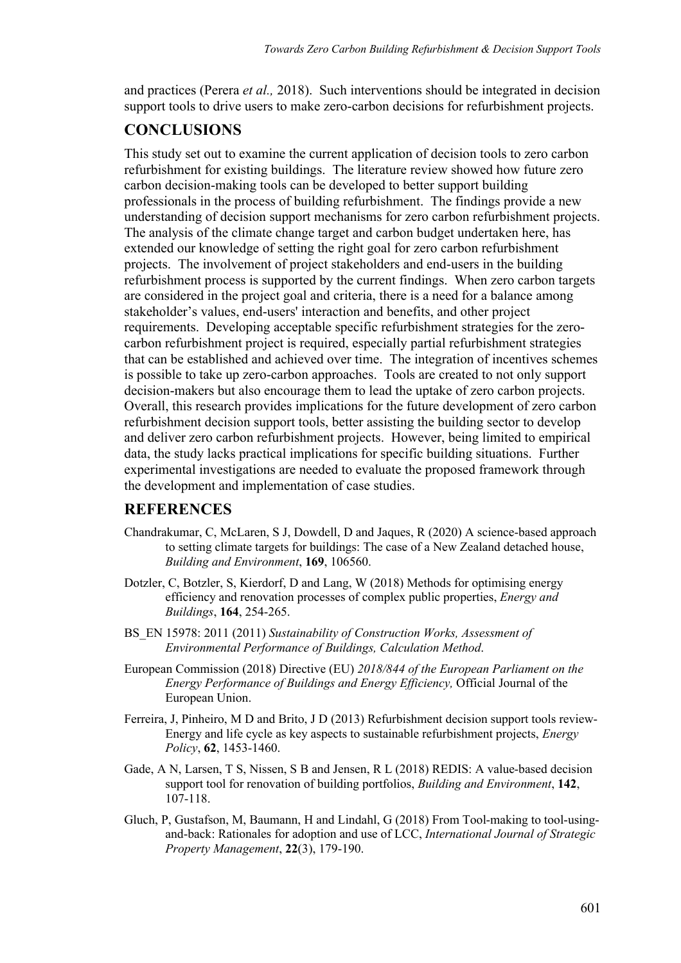and practices (Perera *et al.,* 2018). Such interventions should be integrated in decision support tools to drive users to make zero-carbon decisions for refurbishment projects.

## **CONCLUSIONS**

This study set out to examine the current application of decision tools to zero carbon refurbishment for existing buildings. The literature review showed how future zero carbon decision-making tools can be developed to better support building professionals in the process of building refurbishment. The findings provide a new understanding of decision support mechanisms for zero carbon refurbishment projects. The analysis of the climate change target and carbon budget undertaken here, has extended our knowledge of setting the right goal for zero carbon refurbishment projects. The involvement of project stakeholders and end-users in the building refurbishment process is supported by the current findings. When zero carbon targets are considered in the project goal and criteria, there is a need for a balance among stakeholder's values, end-users' interaction and benefits, and other project requirements. Developing acceptable specific refurbishment strategies for the zerocarbon refurbishment project is required, especially partial refurbishment strategies that can be established and achieved over time. The integration of incentives schemes is possible to take up zero-carbon approaches. Tools are created to not only support decision-makers but also encourage them to lead the uptake of zero carbon projects. Overall, this research provides implications for the future development of zero carbon refurbishment decision support tools, better assisting the building sector to develop and deliver zero carbon refurbishment projects. However, being limited to empirical data, the study lacks practical implications for specific building situations. Further experimental investigations are needed to evaluate the proposed framework through the development and implementation of case studies.

### **REFERENCES**

- Chandrakumar, C, McLaren, S J, Dowdell, D and Jaques, R (2020) A science-based approach to setting climate targets for buildings: The case of a New Zealand detached house, *Building and Environment*, **169**, 106560.
- Dotzler, C, Botzler, S, Kierdorf, D and Lang, W (2018) Methods for optimising energy efficiency and renovation processes of complex public properties, *Energy and Buildings*, **164**, 254-265.
- BS\_EN 15978: 2011 (2011) *Sustainability of Construction Works, Assessment of Environmental Performance of Buildings, Calculation Method*.
- European Commission (2018) Directive (EU) *2018/844 of the European Parliament on the Energy Performance of Buildings and Energy Efficiency,* Official Journal of the European Union.
- Ferreira, J, Pinheiro, M D and Brito, J D (2013) Refurbishment decision support tools review-Energy and life cycle as key aspects to sustainable refurbishment projects, *Energy Policy*, **62**, 1453-1460.
- Gade, A N, Larsen, T S, Nissen, S B and Jensen, R L (2018) REDIS: A value-based decision support tool for renovation of building portfolios, *Building and Environment*, **142**, 107-118.
- Gluch, P, Gustafson, M, Baumann, H and Lindahl, G (2018) From Tool-making to tool-usingand-back: Rationales for adoption and use of LCC, *International Journal of Strategic Property Management*, **22**(3), 179-190.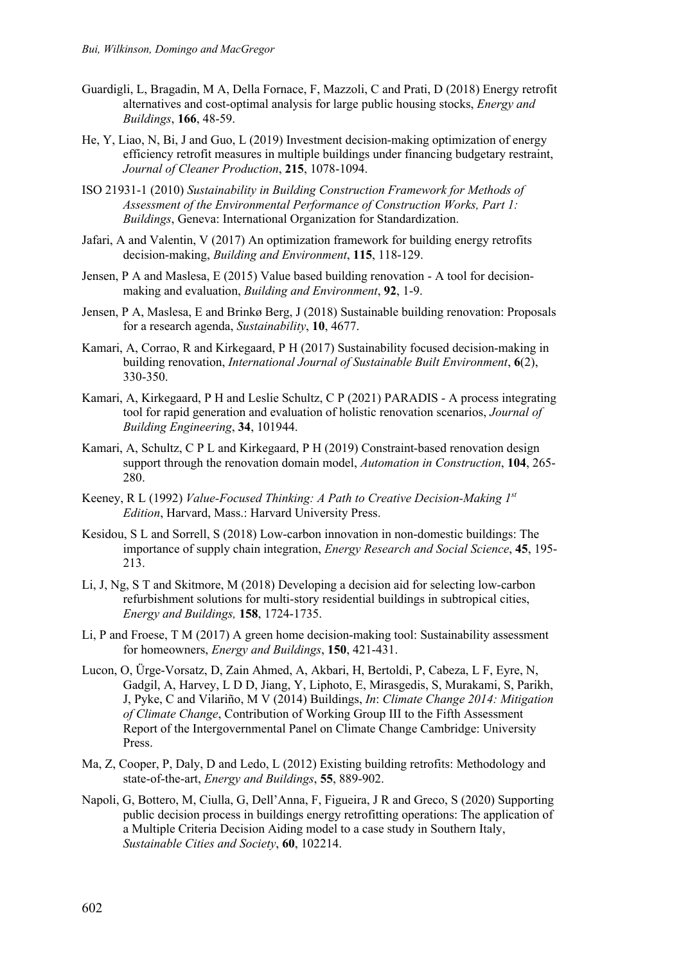- Guardigli, L, Bragadin, M A, Della Fornace, F, Mazzoli, C and Prati, D (2018) Energy retrofit alternatives and cost-optimal analysis for large public housing stocks, *Energy and Buildings*, **166**, 48-59.
- He, Y, Liao, N, Bi, J and Guo, L (2019) Investment decision-making optimization of energy efficiency retrofit measures in multiple buildings under financing budgetary restraint, *Journal of Cleaner Production*, **215**, 1078-1094.
- ISO 21931-1 (2010) *Sustainability in Building Construction Framework for Methods of Assessment of the Environmental Performance of Construction Works, Part 1: Buildings*, Geneva: International Organization for Standardization.
- Jafari, A and Valentin, V (2017) An optimization framework for building energy retrofits decision-making, *Building and Environment*, **115**, 118-129.
- Jensen, P A and Maslesa, E (2015) Value based building renovation A tool for decisionmaking and evaluation, *Building and Environment*, **92**, 1-9.
- Jensen, P A, Maslesa, E and Brinkø Berg, J (2018) Sustainable building renovation: Proposals for a research agenda, *Sustainability*, **10**, 4677.
- Kamari, A, Corrao, R and Kirkegaard, P H (2017) Sustainability focused decision-making in building renovation, *International Journal of Sustainable Built Environment*, **6**(2), 330-350.
- Kamari, A, Kirkegaard, P H and Leslie Schultz, C P (2021) PARADIS A process integrating tool for rapid generation and evaluation of holistic renovation scenarios, *Journal of Building Engineering*, **34**, 101944.
- Kamari, A, Schultz, C P L and Kirkegaard, P H (2019) Constraint-based renovation design support through the renovation domain model, *Automation in Construction*, **104**, 265- 280.
- Keeney, R L (1992) *Value-Focused Thinking: A Path to Creative Decision-Making 1st Edition*, Harvard, Mass.: Harvard University Press.
- Kesidou, S L and Sorrell, S (2018) Low-carbon innovation in non-domestic buildings: The importance of supply chain integration, *Energy Research and Social Science*, **45**, 195- 213.
- Li, J, Ng, S T and Skitmore, M (2018) Developing a decision aid for selecting low-carbon refurbishment solutions for multi-story residential buildings in subtropical cities, *Energy and Buildings,* **158**, 1724-1735.
- Li, P and Froese, T M (2017) A green home decision-making tool: Sustainability assessment for homeowners, *Energy and Buildings*, **150**, 421-431.
- Lucon, O, Ürge-Vorsatz, D, Zain Ahmed, A, Akbari, H, Bertoldi, P, Cabeza, L F, Eyre, N, Gadgil, A, Harvey, L D D, Jiang, Y, Liphoto, E, Mirasgedis, S, Murakami, S, Parikh, J, Pyke, C and Vilariño, M V (2014) Buildings, *In*: *Climate Change 2014: Mitigation of Climate Change*, Contribution of Working Group III to the Fifth Assessment Report of the Intergovernmental Panel on Climate Change Cambridge: University Press.
- Ma, Z, Cooper, P, Daly, D and Ledo, L (2012) Existing building retrofits: Methodology and state-of-the-art, *Energy and Buildings*, **55**, 889-902.
- Napoli, G, Bottero, M, Ciulla, G, Dell'Anna, F, Figueira, J R and Greco, S (2020) Supporting public decision process in buildings energy retrofitting operations: The application of a Multiple Criteria Decision Aiding model to a case study in Southern Italy, *Sustainable Cities and Society*, **60**, 102214.